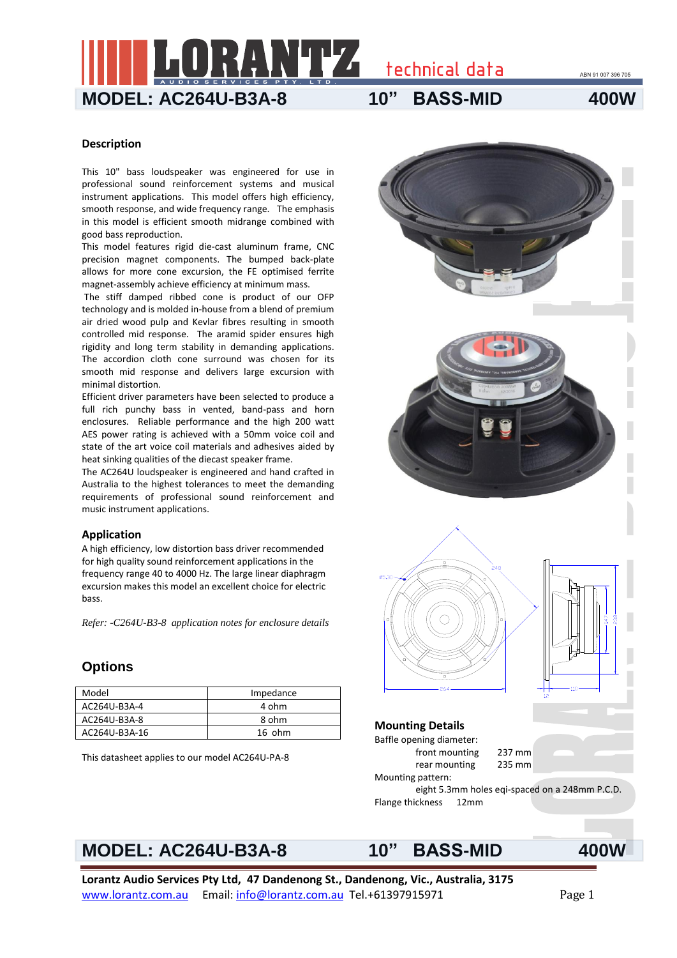technical data

## **MODEL: AC264U-B3A-8 10" BASS-MID 400W**

ABN 91 007 396 705

## **Description**

This 10" bass loudspeaker was engineered for use in professional sound reinforcement systems and musical instrument applications. This model offers high efficiency, smooth response, and wide frequency range. The emphasis in this model is efficient smooth midrange combined with good bass reproduction.

This model features rigid die-cast aluminum frame, CNC precision magnet components. The bumped back-plate allows for more cone excursion, the FE optimised ferrite magnet-assembly achieve efficiency at minimum mass.

The stiff damped ribbed cone is product of our OFP technology and is molded in-house from a blend of premium air dried wood pulp and Kevlar fibres resulting in smooth controlled mid response. The aramid spider ensures high rigidity and long term stability in demanding applications. The accordion cloth cone surround was chosen for its smooth mid response and delivers large excursion with minimal distortion.

Efficient driver parameters have been selected to produce a full rich punchy bass in vented, band-pass and horn enclosures. Reliable performance and the high 200 watt AES power rating is achieved with a 50mm voice coil and state of the art voice coil materials and adhesives aided by heat sinking qualities of the diecast speaker frame.

The AC264U loudspeaker is engineered and hand crafted in Australia to the highest tolerances to meet the demanding requirements of professional sound reinforcement and music instrument applications.

### **Application**

A high efficiency, low distortion bass driver recommended for high quality sound reinforcement applications in the frequency range 40 to 4000 Hz. The large linear diaphragm excursion makes this model an excellent choice for electric bass.

*Refer: -C264U-B3-8 application notes for enclosure details*

## **Options**

| Model         | Impedance |  |
|---------------|-----------|--|
| AC264U-B3A-4  | 4 ohm     |  |
| AC264U-B3A-8  | 8 ohm     |  |
| AC264U-B3A-16 | $16$ ohm  |  |

This datasheet applies to our model AC264U-PA-8



# **MODEL: AC264U-B3A-8 10" BASS-MID 400W**

**Lorantz Audio Services Pty Ltd, 47 Dandenong St., Dandenong, Vic., Australia, 3175**  www.lorantz.com.au Email: info@lorantz.com.au Tel.+61397915971 Page 1